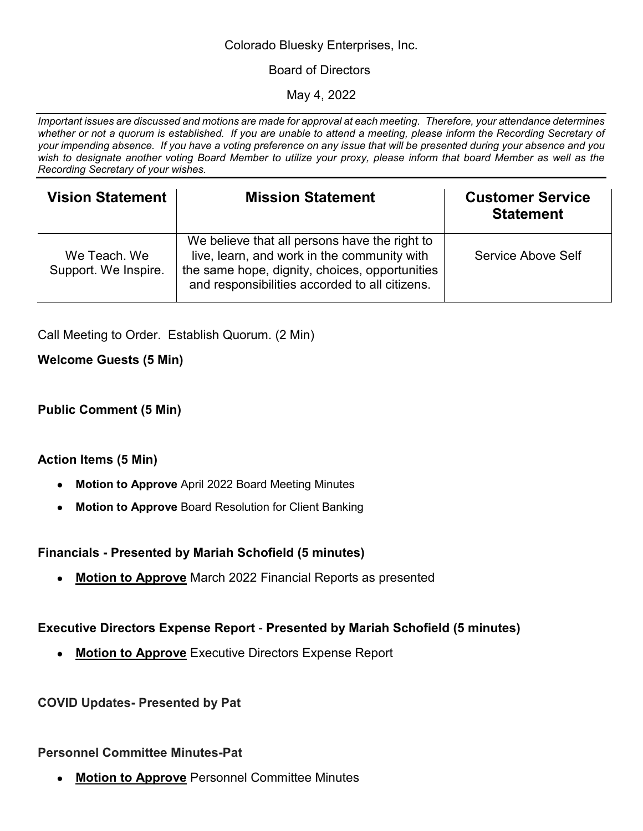#### Colorado Bluesky Enterprises, Inc.

#### Board of Directors

May 4, 2022

*Important issues are discussed and motions are made for approval at each meeting. Therefore, your attendance determines whether or not a quorum is established. If you are unable to attend a meeting, please inform the Recording Secretary of your impending absence. If you have a voting preference on any issue that will be presented during your absence and you wish to designate another voting Board Member to utilize your proxy, please inform that board Member as well as the Recording Secretary of your wishes.* 

| <b>Vision Statement</b>              | <b>Mission Statement</b>                                                                                                                                                                         | <b>Customer Service</b><br><b>Statement</b> |
|--------------------------------------|--------------------------------------------------------------------------------------------------------------------------------------------------------------------------------------------------|---------------------------------------------|
| We Teach, We<br>Support. We Inspire. | We believe that all persons have the right to<br>live, learn, and work in the community with<br>the same hope, dignity, choices, opportunities<br>and responsibilities accorded to all citizens. | Service Above Self                          |

Call Meeting to Order. Establish Quorum. (2 Min)

**Welcome Guests (5 Min)** 

# **Public Comment (5 Min)**

#### **Action Items (5 Min)**

- **Motion to Approve** April 2022 Board Meeting Minutes
- **Motion to Approve** Board Resolution for Client Banking

# **Financials - Presented by Mariah Schofield (5 minutes)**

● **Motion to Approve** March 2022 Financial Reports as presented

# **Executive Directors Expense Report** - **Presented by Mariah Schofield (5 minutes)**

● **Motion to Approve** Executive Directors Expense Report

# **COVID Updates- Presented by Pat**

#### **Personnel Committee Minutes-Pat**

**Motion to Approve** Personnel Committee Minutes